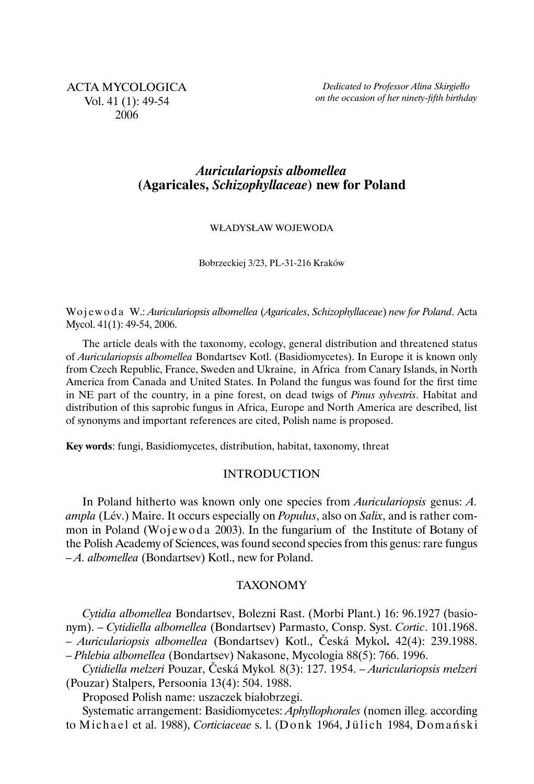# *Auriculariopsis albomellea* **(Agaricales,** *Schizophyllaceae***) new for Poland**

#### WŁADYSŁAW WOJEWODA

Bobrzeckiej 3/23, PL-31-216 Kraków

Wo j e w o d a W.: *Auriculariopsis albomellea* (*Agaricales*, *Schizophyllaceae*) *new for Poland*. Acta Mycol. 41(1): 49-54, 2006.

The article deals with the taxonomy, ecology, general distribution and threatened status of *Auriculariopsis albomellea* Bondartsev Kotl. (Basidiomycetes). In Europe it is known only from Czech Republic, France, Sweden and Ukraine, in Africa from Canary Islands, in North America from Canada and United States. In Poland the fungus was found for the first time in NE part of the country, in a pine forest, on dead twigs of *Pinus sylvestris*. Habitat and distribution of this saprobic fungus in Africa, Europe and North America are described, list of synonyms and important references are cited, Polish name is proposed.

**Key words**: fungi, Basidiomycetes, distribution, habitat, taxonomy, threat

### INTRODUCTION

In Poland hitherto was known only one species from *Auriculariopsis* genus: *A. ampla* (Lév.) Maire. It occurs especially on *Populus*, also on *Salix*, and is rather common in Poland (Wojewoda 2003). In the fungarium of the Institute of Botany of the Polish Academy of Sciences, was found second species from this genus: rare fungus – *A. albomellea* (Bondartsev) Kotl., new for Poland.

## TAXONOMY

*Cytidia albomellea* Bondartsev, Bolezni Rast. (Morbi Plant.) 16: 96.1927 (basionym). – *Cytidiella albomellea* (Bondartsev) Parmasto, Consp. Syst. *Cortic*. 101.1968. – *Auriculariopsis albomellea* (Bondartsev) Kotl., Česká Mykol**.** 42(4): 239.1988. – *Phlebia albomellea* (Bondartsev) Nakasone, Mycologia 88(5): 766. 1996.

*Cytidiella melzeri* Pouzar, Česká Mykol*.* 8(3): 127. 1954. – *Auriculariopsis melzeri* (Pouzar) Stalpers, Persoonia 13(4): 504. 1988.

Proposed Polish name: uszaczek białobrzegi.

Systematic arrangement: Basidiomycetes: *Aphyllophorales* (nomen illeg. according to Michael et al. 1988), *Corticiaceae* s. l. (Donk 1964, Jülich 1984, Domański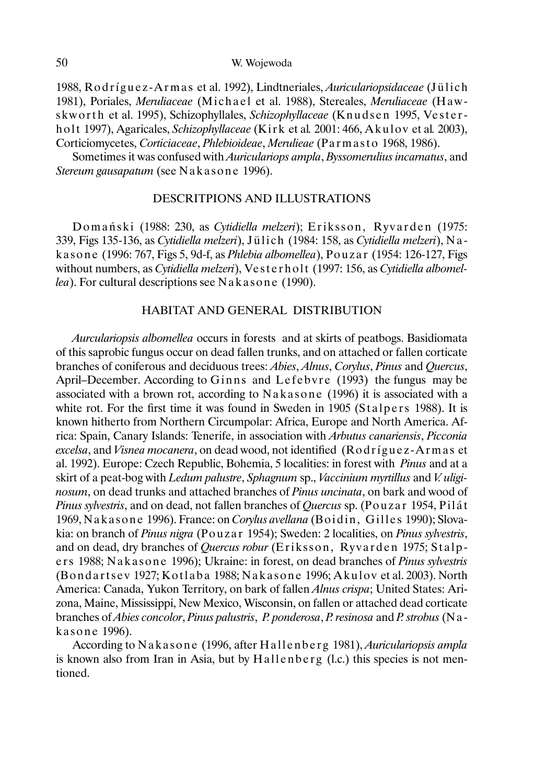50 W. Wojewoda

1988, Ro d r í g u e z -A r m a s et al. 1992), Lindtneriales, *Auriculariopsidaceae* (J ül ic h 1981), Poriales, *Meruliaceae* (Michael et al. 1988), Stereales, *Meruliaceae* (Hawskworth et al. 1995), Schizophyllales, Schizophyllaceae (Knudsen 1995, Vesterholt 1997), Agaricales, *Schizophyllaceae* (Kirk et al. 2001: 466, Akulov et al. 2003), Corticiomycetes, *Corticiaceae*, *Phlebioideae*, *Merulieae* (Parmasto 1968, 1986).

Sometimes it was confused with *Auriculariops ampla*, *Byssomerulius incarnatus*, and *Stereum gausapatum* (see N akasone 1996).

### DESCRITPIONS AND ILLUSTRATIONS

Domański (1988: 230, as *Cytidiella melzeri*); Eriksson, Ryvarden (1975: 339, Figs 135-136, as *Cytidiella melzeri*), J ül ic h (1984: 158, as *Cytidiella melzeri*), N a kasone (1996: 767, Figs 5, 9d-f, as *Phlebia albomellea*), Po u z a r (1954: 126-127, Figs without numbers, as *Cytidiella melzeri*), Vesterholt (1997: 156, as *Cytidiella albomellea*). For cultural descriptions see N a k a s o n e (1990).

#### HABITAT AND GENERAL DISTRIBUTION

*Aurculariopsis albomellea* occurs in forests and at skirts of peatbogs. Basidiomata of this saprobic fungus occur on dead fallen trunks, and on attached or fallen corticate branches of coniferous and deciduous trees: *Abies*, *Alnus*, *Corylus*, *Pinus* and *Quercus*, April–December. According to Ginns and Lefebvre (1993) the fungus may be associated with a brown rot, according to Nakasone (1996) it is associated with a white rot. For the first time it was found in Sweden in 1905 (Stalpers 1988). It is known hitherto from Northern Circumpolar: Africa, Europe and North America. Africa: Spain, Canary Islands: Tenerife, in association with *Arbutus canariensis*, *Picconia excelsa*, and *Visnea mocanera*, on dead wood, not identified (Rodríguez-Armas et al. 1992). Europe: Czech Republic, Bohemia, 5 localities: in forest with *Pinus* and at a skirt of a peat-bog with *Ledum palustre*, *Sphagnum* sp., *Vaccinium myrtillus* and *V. uliginosum*, on dead trunks and attached branches of *Pinus uncinata*, on bark and wood of *Pinus sylvestris*, and on dead, not fallen branches of *Quercus* sp. (Pouzar 1954, Pilát 1969, Nakasone 1996). France: on *Corylus avellana* (Boidin, Gilles 1990); Slovakia: on branch of *Pinus nigra* (Po u z a r 1954); Sweden: 2 localities, on *Pinus sylvestris*, and on dead, dry branches of *Quercus robur* (Eriksson, Ryvarden 1975; Stalpers 1988; N akasone 1996); Ukraine: in forest, on dead branches of *Pinus sylvestris* (Bondartsev 1927; Kotlaba 1988; Nakasone 1996; Akulov et al. 2003). North America: Canada, Yukon Territory, on bark of fallen *Alnus crispa*; United States: Arizona, Maine, Mississippi, New Mexico, Wisconsin, on fallen or attached dead corticate branches of *Abies concolor*, *Pinus palustris*, *P. ponderosa*, *P. resinosa* and *P. strobus* (N a kasone 1996).

According to N akasone (1996, after Hallenberg 1981), *Auriculariopsis ampla* is known also from Iran in Asia, but by Hallenberg (l.c.) this species is not mentioned.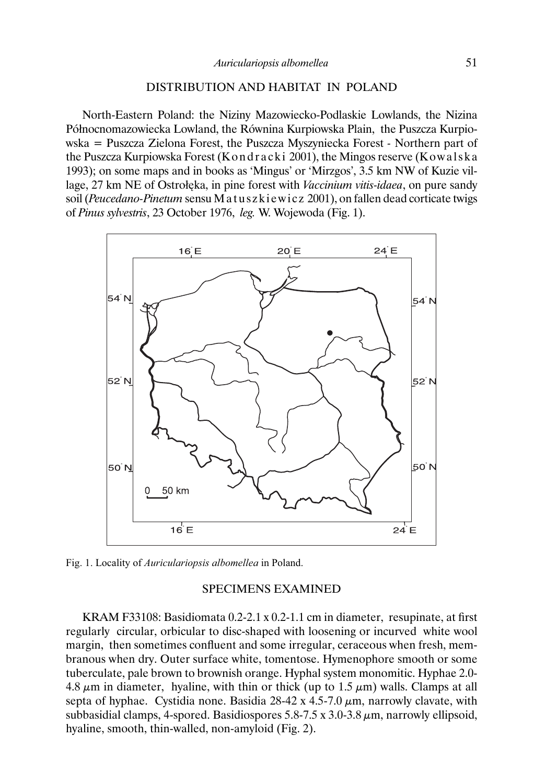## DISTRIBUTION AND HABITAT IN POLAND

North-Eastern Poland: the Niziny Mazowiecko-Podlaskie Lowlands, the Nizina Północnomazowiecka Lowland, the Równina Kurpiowska Plain, the Puszcza Kurpiowska = Puszcza Zielona Forest, the Puszcza Myszyniecka Forest *-* Northern part of the Puszcza Kurpiowska Forest (Kondracki 2001), the Mingos reserve (Kowalska 1993); on some maps and in books as 'Mingus' or 'Mirzgos', 3.5 km NW of Kuzie village, 27 km NE of Ostrołęka, in pine forest with *Vaccinium vitis-idaea*, on pure sandy soil (*Peucedano-Pinetum* sensu Matuszkiewicz 2001), on fallen dead corticate twigs of *Pinus sylvestris*, 23 October 1976, *leg.* W. Wojewoda (Fig. 1).



Fig. 1. Locality of *Auriculariopsis albomellea* in Poland.

### SPECIMENS EXAMINED

KRAM F33108: Basidiomata 0.2-2.1 x 0.2-1.1 cm in diameter, resupinate, at first regularly circular, orbicular to disc-shaped with loosening or incurved white wool margin, then sometimes confluent and some irregular, ceraceous when fresh, membranous when dry. Outer surface white, tomentose. Hymenophore smooth or some tuberculate, pale brown to brownish orange. Hyphal system monomitic. Hyphae 2.0- 4.8  $\mu$ m in diameter, hyaline, with thin or thick (up to 1.5  $\mu$ m) walls. Clamps at all septa of hyphae. Cystidia none. Basidia  $28-42 \times 4.5-7.0 \mu m$ , narrowly clavate, with subbasidial clamps, 4-spored. Basidiospores 5.8-7.5 x 3.0-3.8  $\mu$ m, narrowly ellipsoid, hyaline, smooth, thin-walled, non-amyloid (Fig. 2).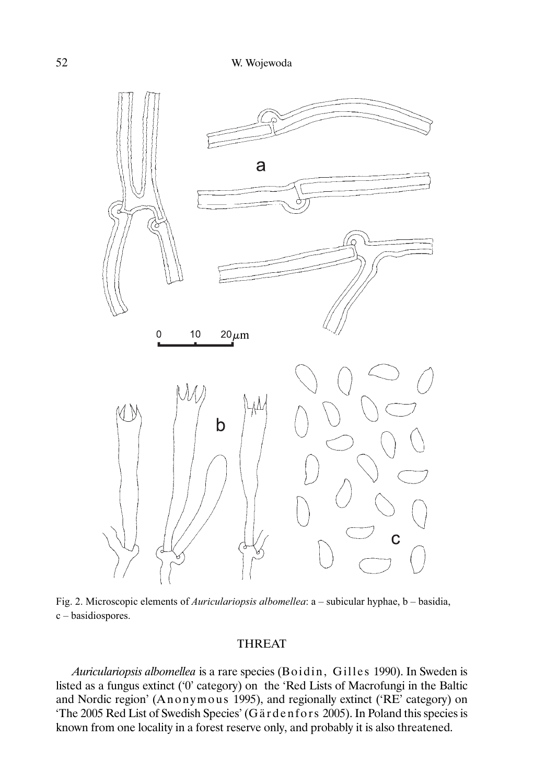

Fig. 2. Microscopic elements of *Auriculariopsis albomellea*: a – subicular hyphae, b – basidia, c – basidiospores.

## THREAT

*Auriculariopsis albomellea* is a rare species (Boidin, Gilles 1990). In Sweden is listed as a fungus extinct ('0' category) on the 'Red Lists of Macrofungi in the Baltic and Nordic region' (Anonymous 1995), and regionally extinct ('RE' category) on 'The 2005 Red List of Swedish Species' (Gä rd e nf or s 2005). In Poland this species is known from one locality in a forest reserve only, and probably it is also threatened.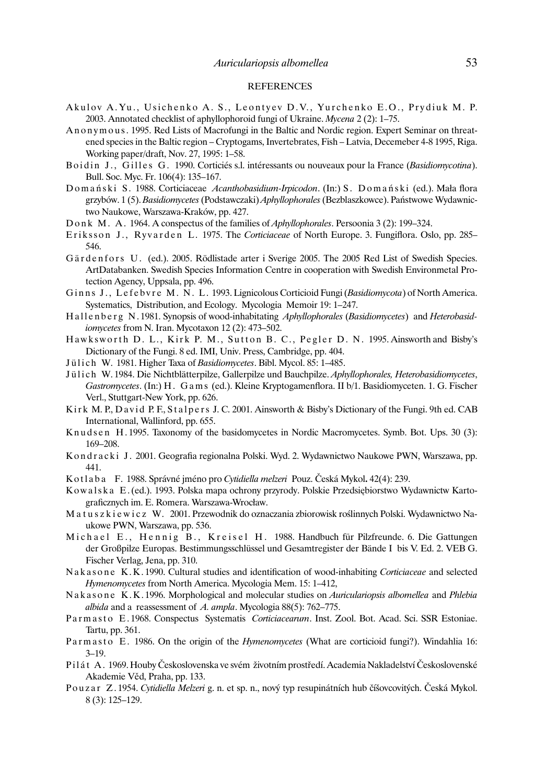#### **REFERENCES**

- Akulov A. Yu., Usichenko A. S., Leontyev D.V., Yurchenko E.O., Prydiuk M. P. 2003. Annotated checklist of aphyllophoroid fungi of Ukraine. *Mycena* 2 (2): 1–75.
- An onymous. 1995. Red Lists of Macrofungi in the Baltic and Nordic region. Expert Seminar on threatened species in the Baltic region – Cryptogams, Invertebrates, Fish – Latvia, Decemeber 4-8 1995, Riga. Working paper/draft, Nov. 27, 1995: 1–58.
- Boidin J., Gilles G. 1990. Corticiés s.l. intéressants ou nouveaux pour la France (*Basidiomycotina*). Bull. Soc. Myc. Fr. 106(4): 135–167.
- D o m a ń s k i S . 1988. Corticiaceae *Acanthobasidium-Irpicodon*. (In:) S . D o m a ń s k i (ed.). Mała flora grzybów. 1 (5). *Basidiomycetes* (Podstawczaki) *Aphyllophorales* (Bezblaszkowce). Państwowe Wydawnictwo Naukowe, Warszawa-Kraków, pp. 427.
- Donk M. A. 1964. A conspectus of the families of *Aphyllophorales*. Persoonia 3 (2): 199–324.
- Eriksson J., Ryvarden L. 1975. The *Corticiaceae* of North Europe. 3. Fungiflora. Oslo, pp. 285– 546.
- Gärdenfors U. (ed.). 2005. Rödlistade arter i Sverige 2005. The 2005 Red List of Swedish Species. ArtDatabanken. Swedish Species Information Centre in cooperation with Swedish Environmetal Protection Agency, Uppsala, pp. 496.
- Ginns J., Lefebvre M. N. L. 1993. Lignicolous Corticioid Fungi (*Basidiomycota*) of North America. Systematics, Distribution, and Ecology. Mycologia Memoir 19: 1–247.
- Hallenberg N. 1981. Synopsis of wood-inhabitating *Aphyllophorales* (*Basidiomycetes*) and *Heterobasidiomycetes* from N. Iran. Mycotaxon 12 (2): 473–502.
- Hawksworth D. L., Kirk P. M., Sutton B. C., Pegler D. N. 1995. Ainsworth and Bisby's Dictionary of the Fungi. 8 ed. IMI, Univ. Press, Cambridge, pp. 404.
- Jülich W. 1981. Higher Taxa of *Basidiomycetes*. Bibl. Mycol. 85: 1-485.
- J ü l i c h W. 1984. Die Nichtblätterpilze, Gallerpilze und Bauchpilze. *Aphyllophorales, Heterobasidiomycetes*, *Gastromycetes*. (In:) H . G a m s (ed.). Kleine Kryptogamenflora. II b/1. Basidiomyceten. 1. G. Fischer Verl., Stuttgart-New York, pp. 626.
- Kirk M. P., David P. F., Stalpers J. C. 2001. Ainsworth & Bisby's Dictionary of the Fungi. 9th ed. CAB International, Wallinford, pp. 655.
- Knudsen H. 1995. Taxonomy of the basidomycetes in Nordic Macromycetes. Symb. Bot. Ups. 30 (3): 169–208.
- K o n d r a c k i J. 2001. Geografia regionalna Polski. Wyd. 2. Wydawnictwo Naukowe PWN, Warszawa, pp. 441.
- K o t l a b a F. 1988. Správné jméno pro *Cytidiella melzeri* Pouz. Česká Mykol**.** 42(4): 239.
- K o w a l s k a E. (ed.). 1993. Polska mapa ochrony przyrody. Polskie Przedsiębiorstwo Wydawnictw Kartograficznych im. E. Romera. Warszawa-Wrocław.
- M a t u s z k i e w i c z W. 2001. Przewodnik do oznaczania zbiorowisk roślinnych Polski. Wydawnictwo Naukowe PWN, Warszawa, pp. 536.
- Michael E., Hennig B., Kreisel H. 1988. Handbuch für Pilzfreunde. 6. Die Gattungen der Großpilze Europas. Bestimmungsschlüssel und Gesamtregister der Bände I bis V. Ed. 2. VEB G. Fischer Verlag, Jena, pp. 310.
- Nakasone K.K. 1990. Cultural studies and identification of wood-inhabiting *Corticiaceae* and selected *Hymenomycetes* from North America. Mycologia Mem. 15: 1–412,
- Nakasone K.K. 1996. Morphological and molecular studies on *Auriculariopsis albomellea* and *Phlebia albida* and a reassessment of *A. ampla*. Mycologia 88(5): 762–775.
- Parmasto E. 1968. Conspectus Systematis *Corticiacearum*. Inst. Zool. Bot. Acad. Sci. SSR Estoniae. Tartu, pp. 361.
- Parmasto E. 1986. On the origin of the *Hymenomycetes* (What are corticioid fungi?). Windahlia 16: 3–19.
- P i l á t A . 1969. Houby Československa ve svém životním prostředí. Academia Nakladelství Československé Akademie Věd, Praha, pp. 133.
- Pouzar Z. 1954. *Cytidiella Melzeri* g. n. et sp. n., nový typ resupinátních hub číšovcovitých. Česká Mykol. 8 (3): 125–129.